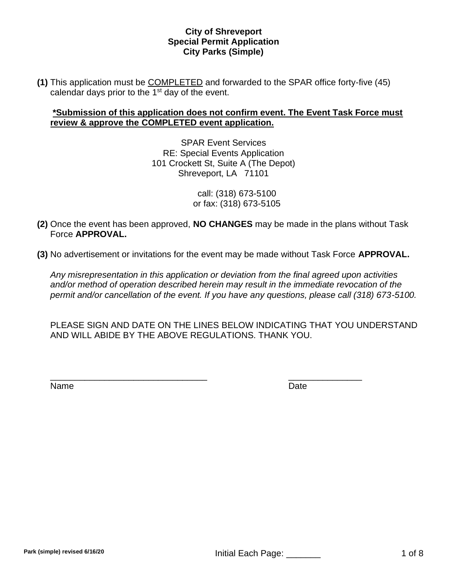**(1)** This application must be COMPLETED and forwarded to the SPAR office forty-five (45) calendar days prior to the 1<sup>st</sup> day of the event.

# **\*Submission of this application does not confirm event. The Event Task Force must review & approve the COMPLETED event application.**

SPAR Event Services RE: Special Events Application 101 Crockett St, Suite A (The Depot) Shreveport, LA 71101

> call: (318) 673-5100 or fax: (318) 673-5105

- **(2)** Once the event has been approved, **NO CHANGES** may be made in the plans without Task Force **APPROVAL.**
- **(3)** No advertisement or invitations for the event may be made without Task Force **APPROVAL.**

*Any misrepresentation in this application or deviation from the final agreed upon activities and/or method of operation described herein may result in the immediate revocation of the permit and/or cancellation of the event. If you have any questions, please call (318) 673-5100.*

PLEASE SIGN AND DATE ON THE LINES BELOW INDICATING THAT YOU UNDERSTAND AND WILL ABIDE BY THE ABOVE REGULATIONS. THANK YOU.

 $\overline{\phantom{a}}$  , and the contract of the contract of the contract of the contract of the contract of the contract of the contract of the contract of the contract of the contract of the contract of the contract of the contrac

Name Date **Date**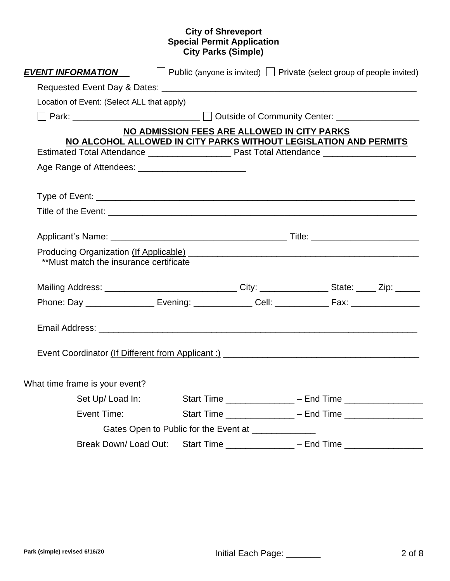| EVENT INFORMATION                                                                                            |  | $\Box$ Public (anyone is invited) $\Box$ Private (select group of people invited) |  |  |  |
|--------------------------------------------------------------------------------------------------------------|--|-----------------------------------------------------------------------------------|--|--|--|
|                                                                                                              |  |                                                                                   |  |  |  |
| Location of Event: (Select ALL that apply)                                                                   |  |                                                                                   |  |  |  |
|                                                                                                              |  |                                                                                   |  |  |  |
|                                                                                                              |  | NO ADMISSION FEES ARE ALLOWED IN CITY PARKS                                       |  |  |  |
| NO ALCOHOL ALLOWED IN CITY PARKS WITHOUT LEGISLATION AND PERMITS                                             |  |                                                                                   |  |  |  |
|                                                                                                              |  |                                                                                   |  |  |  |
|                                                                                                              |  |                                                                                   |  |  |  |
|                                                                                                              |  |                                                                                   |  |  |  |
|                                                                                                              |  |                                                                                   |  |  |  |
|                                                                                                              |  |                                                                                   |  |  |  |
|                                                                                                              |  |                                                                                   |  |  |  |
| Producing Organization (If Applicable) Manual Manual Manual Manual Manual Manual Manual Manual Manual Manual |  |                                                                                   |  |  |  |
| **Must match the insurance certificate                                                                       |  |                                                                                   |  |  |  |
| Mailing Address: __________________________________City: _________________State: _____ Zip: ______           |  |                                                                                   |  |  |  |
| Phone: Day __________________ Evening: ______________ Cell: _______________ Fax: __________________          |  |                                                                                   |  |  |  |
|                                                                                                              |  |                                                                                   |  |  |  |
|                                                                                                              |  |                                                                                   |  |  |  |
|                                                                                                              |  |                                                                                   |  |  |  |
|                                                                                                              |  |                                                                                   |  |  |  |
| What time frame is your event?                                                                               |  |                                                                                   |  |  |  |
| Set Up/Load In:                                                                                              |  |                                                                                   |  |  |  |
| Event Time:                                                                                                  |  |                                                                                   |  |  |  |
|                                                                                                              |  | Gates Open to Public for the Event at _______________                             |  |  |  |
| Break Down/Load Out:                                                                                         |  | Start Time ________________ – End Time __________________                         |  |  |  |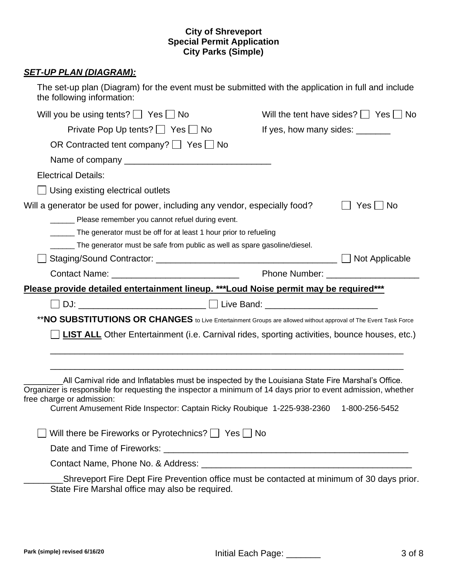### *SET-UP PLAN (DIAGRAM):*

| the following information:                                                            | The set-up plan (Diagram) for the event must be submitted with the application in full and include |
|---------------------------------------------------------------------------------------|----------------------------------------------------------------------------------------------------|
| Will you be using tents? $\Box$ Yes $\Box$ No                                         | Will the tent have sides? $\Box$ Yes $\Box$ No                                                     |
| Private Pop Up tents?   Yes   No                                                      | If yes, how many sides: ________                                                                   |
| OR Contracted tent company? $\Box$ Yes $\Box$ No                                      |                                                                                                    |
|                                                                                       |                                                                                                    |
| <b>Electrical Details:</b>                                                            |                                                                                                    |
| Using existing electrical outlets                                                     |                                                                                                    |
| Will a generator be used for power, including any vendor, especially food?            | <b>No</b><br>Yes I I                                                                               |
| Please remember you cannot refuel during event.                                       |                                                                                                    |
| The generator must be off for at least 1 hour prior to refueling                      |                                                                                                    |
| The generator must be safe from public as well as spare gasoline/diesel.              |                                                                                                    |
|                                                                                       | Not Applicable                                                                                     |
|                                                                                       |                                                                                                    |
| Please provide detailed entertainment lineup. ***Loud Noise permit may be required*** |                                                                                                    |
|                                                                                       |                                                                                                    |

\*\***NO SUBSTITUTIONS OR CHANGES** to Live Entertainment Groups are allowed without approval of The Event Task Force

\_\_\_\_\_\_\_\_\_\_\_\_\_\_\_\_\_\_\_\_\_\_\_\_\_\_\_\_\_\_\_\_\_\_\_\_\_\_\_\_\_\_\_\_\_\_\_\_\_\_\_\_\_\_\_\_\_\_\_\_\_\_\_\_\_\_\_\_\_\_\_\_

\_\_\_\_\_\_\_\_\_\_\_\_\_\_\_\_\_\_\_\_\_\_\_\_\_\_\_\_\_\_\_\_\_\_\_\_\_\_\_\_\_\_\_\_\_\_\_\_\_\_\_\_\_\_\_\_\_\_\_\_\_\_\_\_\_\_\_\_\_\_\_\_

**LIST ALL** Other Entertainment (i.e. Carnival rides, sporting activities, bounce houses, etc.)

| All Carnival ride and Inflatables must be inspected by the Louisiana State Fire Marshal's Office.            |                |
|--------------------------------------------------------------------------------------------------------------|----------------|
| Organizer is responsible for requesting the inspector a minimum of 14 days prior to event admission, whether |                |
| free charge or admission:                                                                                    |                |
| Current Amusement Ride Inspector: Captain Ricky Roubique 1-225-938-2360                                      | 1-800-256-5452 |
|                                                                                                              |                |
| $\Box$ Will there be Fireworks or Pyrotechnics? $\Box$ Yes $\Box$ No                                         |                |
| Date and Time of Fireworks:                                                                                  |                |
|                                                                                                              |                |

Contact Name, Phone No. & Address: \_\_\_\_\_\_\_\_\_\_\_\_\_\_\_\_\_\_\_\_\_\_\_\_\_\_\_\_\_\_\_\_\_\_\_\_\_\_\_\_\_\_\_

\_\_\_\_\_\_\_\_Shreveport Fire Dept Fire Prevention office must be contacted at minimum of 30 days prior. State Fire Marshal office may also be required.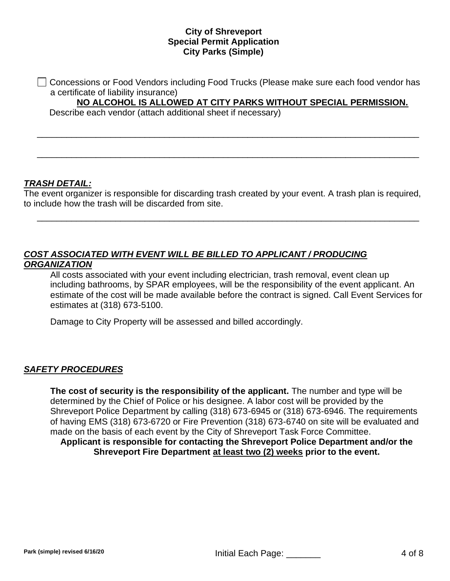Concessions or Food Vendors including Food Trucks (Please make sure each food vendor has a certificate of liability insurance)

\_\_\_\_\_\_\_\_\_\_\_\_\_\_\_\_\_\_\_\_\_\_\_\_\_\_\_\_\_\_\_\_\_\_\_\_\_\_\_\_\_\_\_\_\_\_\_\_\_\_\_\_\_\_\_\_\_\_\_\_\_\_\_\_\_\_\_\_\_\_\_\_\_\_\_\_\_\_

\_\_\_\_\_\_\_\_\_\_\_\_\_\_\_\_\_\_\_\_\_\_\_\_\_\_\_\_\_\_\_\_\_\_\_\_\_\_\_\_\_\_\_\_\_\_\_\_\_\_\_\_\_\_\_\_\_\_\_\_\_\_\_\_\_\_\_\_\_\_\_\_\_\_\_\_\_\_

**NO ALCOHOL IS ALLOWED AT CITY PARKS WITHOUT SPECIAL PERMISSION.**

Describe each vendor (attach additional sheet if necessary)

# *TRASH DETAIL:*

The event organizer is responsible for discarding trash created by your event. A trash plan is required, to include how the trash will be discarded from site.

\_\_\_\_\_\_\_\_\_\_\_\_\_\_\_\_\_\_\_\_\_\_\_\_\_\_\_\_\_\_\_\_\_\_\_\_\_\_\_\_\_\_\_\_\_\_\_\_\_\_\_\_\_\_\_\_\_\_\_\_\_\_\_\_\_\_\_\_\_\_\_\_\_\_\_\_\_\_

# *COST ASSOCIATED WITH EVENT WILL BE BILLED TO APPLICANT / PRODUCING ORGANIZATION*

All costs associated with your event including electrician, trash removal, event clean up including bathrooms, by SPAR employees, will be the responsibility of the event applicant. An estimate of the cost will be made available before the contract is signed. Call Event Services for estimates at (318) 673-5100.

Damage to City Property will be assessed and billed accordingly.

### *SAFETY PROCEDURES*

**The cost of security is the responsibility of the applicant.** The number and type will be determined by the Chief of Police or his designee. A labor cost will be provided by the Shreveport Police Department by calling (318) 673-6945 or (318) 673-6946. The requirements of having EMS (318) 673-6720 or Fire Prevention (318) 673-6740 on site will be evaluated and made on the basis of each event by the City of Shreveport Task Force Committee. **Applicant is responsible for contacting the Shreveport Police Department and/or the Shreveport Fire Department at least two (2) weeks prior to the event.**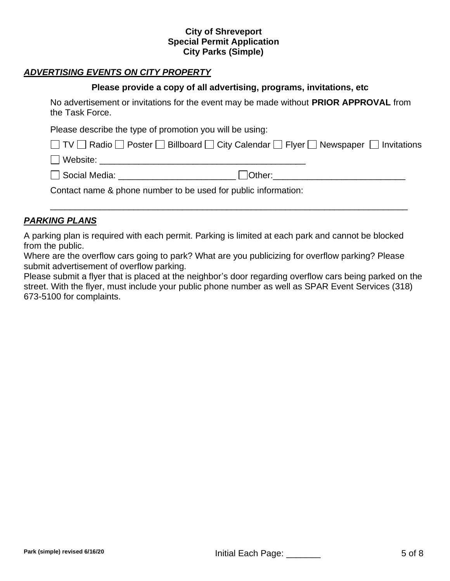# *ADVERTISING EVENTS ON CITY PROPERTY*

#### **Please provide a copy of all advertising, programs, invitations, etc**

No advertisement or invitations for the event may be made without **PRIOR APPROVAL** from the Task Force.

Please describe the type of promotion you will be using:

|  |  |  | □ TV □ Radio □ Poster □ Billboard □ City Calendar □ Flyer □ Newspaper □ Invitations |  |  |  |  |
|--|--|--|-------------------------------------------------------------------------------------|--|--|--|--|
|--|--|--|-------------------------------------------------------------------------------------|--|--|--|--|

Website: \_\_\_\_\_\_\_\_\_\_\_\_\_\_\_\_\_\_\_\_\_\_\_\_\_\_\_\_\_\_\_\_\_\_\_\_\_\_\_\_\_\_

□ Social Media: <br>□ Cther:

\_\_\_\_\_\_\_\_\_\_\_\_\_\_\_\_\_\_\_\_\_\_\_\_\_\_\_\_\_\_\_\_\_\_\_\_\_\_\_\_\_\_\_\_\_\_\_\_\_\_\_\_\_\_\_\_\_\_\_\_\_\_\_\_\_\_\_\_\_\_\_\_\_

Contact name & phone number to be used for public information:

# *PARKING PLANS*

A parking plan is required with each permit. Parking is limited at each park and cannot be blocked from the public.

Where are the overflow cars going to park? What are you publicizing for overflow parking? Please submit advertisement of overflow parking.

Please submit a flyer that is placed at the neighbor's door regarding overflow cars being parked on the street. With the flyer, must include your public phone number as well as SPAR Event Services (318) 673-5100 for complaints.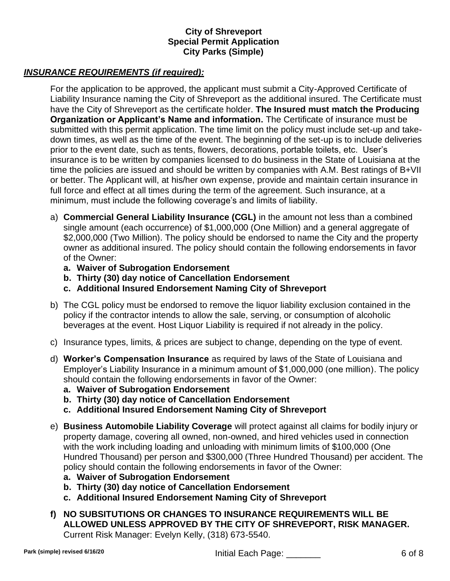# *INSURANCE REQUIREMENTS (if required):*

For the application to be approved, the applicant must submit a City-Approved Certificate of Liability Insurance naming the City of Shreveport as the additional insured. The Certificate must have the City of Shreveport as the certificate holder. **The Insured must match the Producing Organization or Applicant's Name and information.** The Certificate of insurance must be submitted with this permit application. The time limit on the policy must include set-up and takedown times, as well as the time of the event. The beginning of the set-up is to include deliveries prior to the event date, such as tents, flowers, decorations, portable toilets, etc. User's insurance is to be written by companies licensed to do business in the State of Louisiana at the time the policies are issued and should be written by companies with A.M. Best ratings of B+VII or better. The Applicant will, at his/her own expense, provide and maintain certain insurance in full force and effect at all times during the term of the agreement. Such insurance, at a minimum, must include the following coverage's and limits of liability.

- a) **Commercial General Liability Insurance (CGL)** in the amount not less than a combined single amount (each occurrence) of \$1,000,000 (One Million) and a general aggregate of \$2,000,000 (Two Million). The policy should be endorsed to name the City and the property owner as additional insured. The policy should contain the following endorsements in favor of the Owner:
	- **a. Waiver of Subrogation Endorsement**
	- **b. Thirty (30) day notice of Cancellation Endorsement**
	- **c. Additional Insured Endorsement Naming City of Shreveport**
- b) The CGL policy must be endorsed to remove the liquor liability exclusion contained in the policy if the contractor intends to allow the sale, serving, or consumption of alcoholic beverages at the event. Host Liquor Liability is required if not already in the policy.
- c) Insurance types, limits, & prices are subject to change, depending on the type of event.
- d) **Worker's Compensation Insurance** as required by laws of the State of Louisiana and Employer's Liability Insurance in a minimum amount of \$1,000,000 (one million). The policy should contain the following endorsements in favor of the Owner:
	- **a. Waiver of Subrogation Endorsement**
	- **b. Thirty (30) day notice of Cancellation Endorsement**
	- **c. Additional Insured Endorsement Naming City of Shreveport**
- e) **Business Automobile Liability Coverage** will protect against all claims for bodily injury or property damage, covering all owned, non-owned, and hired vehicles used in connection with the work including loading and unloading with minimum limits of \$100,000 (One Hundred Thousand) per person and \$300,000 (Three Hundred Thousand) per accident. The policy should contain the following endorsements in favor of the Owner:
	- **a. Waiver of Subrogation Endorsement**
	- **b. Thirty (30) day notice of Cancellation Endorsement**
	- **c. Additional Insured Endorsement Naming City of Shreveport**
- **f) NO SUBSITUTIONS OR CHANGES TO INSURANCE REQUIREMENTS WILL BE ALLOWED UNLESS APPROVED BY THE CITY OF SHREVEPORT, RISK MANAGER.** Current Risk Manager: Evelyn Kelly, (318) 673-5540.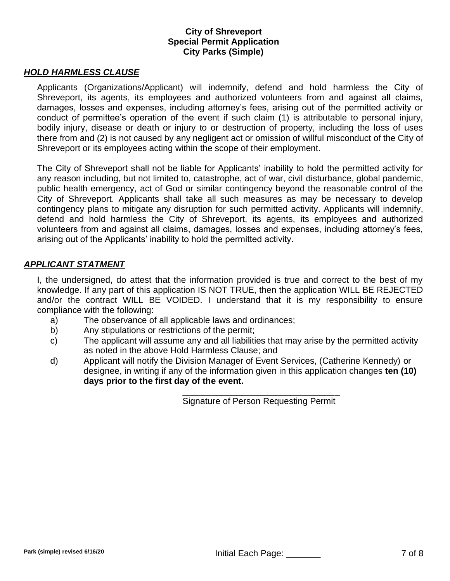#### *HOLD HARMLESS CLAUSE*

Applicants (Organizations/Applicant) will indemnify, defend and hold harmless the City of Shreveport, its agents, its employees and authorized volunteers from and against all claims, damages, losses and expenses, including attorney's fees, arising out of the permitted activity or conduct of permittee's operation of the event if such claim (1) is attributable to personal injury, bodily injury, disease or death or injury to or destruction of property, including the loss of uses there from and (2) is not caused by any negligent act or omission of willful misconduct of the City of Shreveport or its employees acting within the scope of their employment.

The City of Shreveport shall not be liable for Applicants' inability to hold the permitted activity for any reason including, but not limited to, catastrophe, act of war, civil disturbance, global pandemic, public health emergency, act of God or similar contingency beyond the reasonable control of the City of Shreveport. Applicants shall take all such measures as may be necessary to develop contingency plans to mitigate any disruption for such permitted activity. Applicants will indemnify, defend and hold harmless the City of Shreveport, its agents, its employees and authorized volunteers from and against all claims, damages, losses and expenses, including attorney's fees, arising out of the Applicants' inability to hold the permitted activity.

#### *APPLICANT STATMENT*

I, the undersigned, do attest that the information provided is true and correct to the best of my knowledge. If any part of this application IS NOT TRUE, then the application WILL BE REJECTED and/or the contract WILL BE VOIDED. I understand that it is my responsibility to ensure compliance with the following:

- a) The observance of all applicable laws and ordinances;
- b) Any stipulations or restrictions of the permit;
- c) The applicant will assume any and all liabilities that may arise by the permitted activity as noted in the above Hold Harmless Clause; and
- d) Applicant will notify the Division Manager of Event Services, (Catherine Kennedy) or designee, in writing if any of the information given in this application changes **ten (10) days prior to the first day of the event.**

\_\_\_\_\_\_\_\_\_\_\_\_\_\_\_\_\_\_\_\_\_\_\_\_\_\_\_\_\_\_\_\_ Signature of Person Requesting Permit